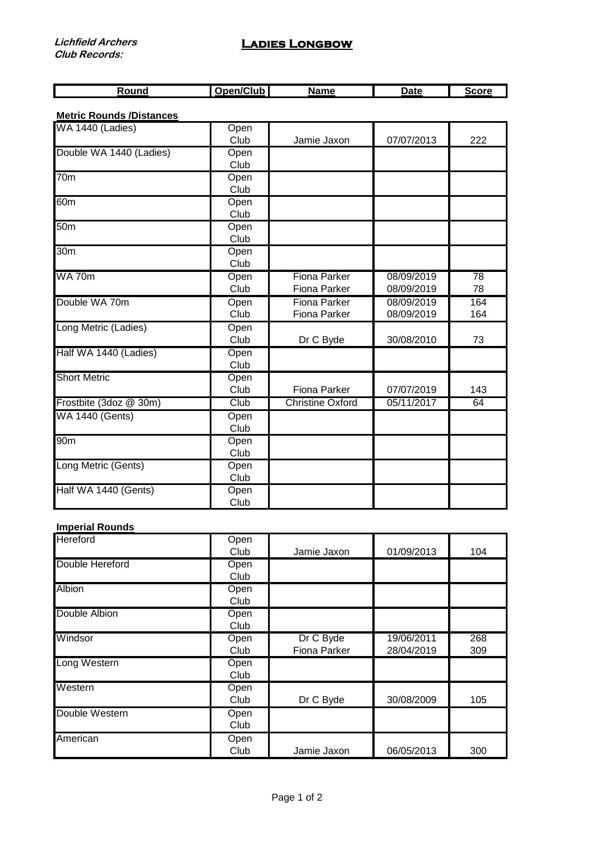| unc | $\sim$<br>lub<br>.<br>. . | No. | . |  |
|-----|---------------------------|-----|---|--|

## **Metric Rounds /Distances**

| WA 1440 (Ladies)        | Open |                         |            |     |
|-------------------------|------|-------------------------|------------|-----|
|                         | Club | Jamie Jaxon             | 07/07/2013 | 222 |
| Double WA 1440 (Ladies) | Open |                         |            |     |
|                         | Club |                         |            |     |
| $\overline{70m}$        | Open |                         |            |     |
|                         | Club |                         |            |     |
| 60 <sub>m</sub>         | Open |                         |            |     |
|                         | Club |                         |            |     |
| 50 <sub>m</sub>         | Open |                         |            |     |
|                         | Club |                         |            |     |
| 30 <sub>m</sub>         | Open |                         |            |     |
|                         | Club |                         |            |     |
| <b>WA 70m</b>           | Open | <b>Fiona Parker</b>     | 08/09/2019 | 78  |
|                         | Club | <b>Fiona Parker</b>     | 08/09/2019 | 78  |
| Double WA 70m           | Open | <b>Fiona Parker</b>     | 08/09/2019 | 164 |
|                         | Club | <b>Fiona Parker</b>     | 08/09/2019 | 164 |
| Long Metric (Ladies)    | Open |                         |            |     |
|                         | Club | Dr C Byde               | 30/08/2010 | 73  |
| Half WA 1440 (Ladies)   | Open |                         |            |     |
|                         | Club |                         |            |     |
| <b>Short Metric</b>     | Open |                         |            |     |
|                         | Club | Fiona Parker            | 07/07/2019 | 143 |
| Frostbite (3doz @ 30m)  | Club | <b>Christine Oxford</b> | 05/11/2017 | 64  |
| <b>WA 1440 (Gents)</b>  | Open |                         |            |     |
|                         | Club |                         |            |     |
| 90 <sub>m</sub>         | Open |                         |            |     |
|                         | Club |                         |            |     |
| Long Metric (Gents)     | Open |                         |            |     |
|                         | Club |                         |            |     |
| Half WA 1440 (Gents)    | Open |                         |            |     |
|                         | Club |                         |            |     |

## **Imperial Rounds**

| <b>Hereford</b> | Open |                     |            |     |
|-----------------|------|---------------------|------------|-----|
|                 | Club | Jamie Jaxon         | 01/09/2013 | 104 |
| Double Hereford | Open |                     |            |     |
|                 | Club |                     |            |     |
| <b>Albion</b>   | Open |                     |            |     |
|                 | Club |                     |            |     |
| Double Albion   | Open |                     |            |     |
|                 | Club |                     |            |     |
| Windsor         | Open | Dr C Byde           | 19/06/2011 | 268 |
|                 | Club | <b>Fiona Parker</b> | 28/04/2019 | 309 |
| Long Western    | Open |                     |            |     |
|                 | Club |                     |            |     |
| Western         | Open |                     |            |     |
|                 | Club | Dr C Byde           | 30/08/2009 | 105 |
| Double Western  | Open |                     |            |     |
|                 | Club |                     |            |     |
| American        | Open |                     |            |     |
|                 | Club | Jamie Jaxon         | 06/05/2013 | 300 |